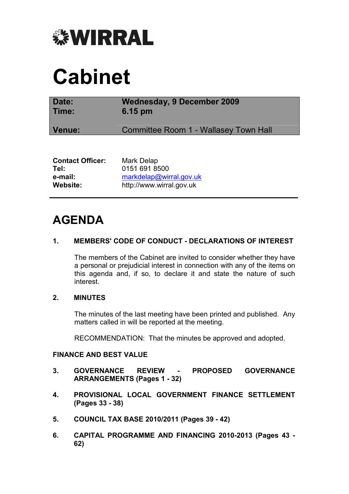

# Cabinet

| Date:                   | <b>Wednesday, 9 December 2009</b>     |
|-------------------------|---------------------------------------|
| Time:                   | 6.15 pm                               |
| Venue:                  | Committee Room 1 - Wallasey Town Hall |
|                         |                                       |
| <b>Contact Officer:</b> | Mark Delap                            |
| Tel:                    | 0151 691 8500                         |

| .        | <u>VIVI VVI UVVV</u>     |
|----------|--------------------------|
| e-mail:  | markdelap@wirral.gov.uk  |
| Website: | http://www.wirral.gov.uk |

# AGENDA

# 1. MEMBERS' CODE OF CONDUCT - DECLARATIONS OF INTEREST

 The members of the Cabinet are invited to consider whether they have a personal or prejudicial interest in connection with any of the items on this agenda and, if so, to declare it and state the nature of such interest.

# 2. MINUTES

 The minutes of the last meeting have been printed and published. Any matters called in will be reported at the meeting.

RECOMMENDATION: That the minutes be approved and adopted.

# FINANCE AND BEST VALUE

- 3. GOVERNANCE REVIEW PROPOSED GOVERNANCE ARRANGEMENTS (Pages 1 - 32)
- 4. PROVISIONAL LOCAL GOVERNMENT FINANCE SETTLEMENT (Pages 33 - 38)
- 5. COUNCIL TAX BASE 2010/2011 (Pages 39 42)
- 6. CAPITAL PROGRAMME AND FINANCING 2010-2013 (Pages 43 62)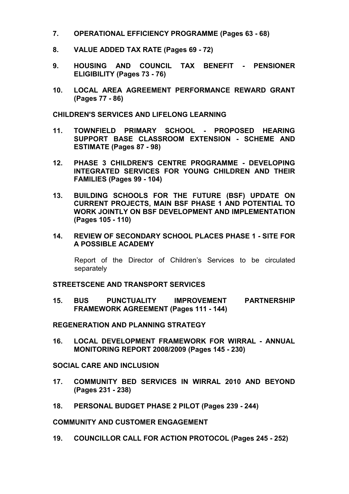- 7. OPERATIONAL EFFICIENCY PROGRAMME (Pages 63 68)
- 8. VALUE ADDED TAX RATE (Pages 69 72)
- 9. HOUSING AND COUNCIL TAX BENEFIT PENSIONER ELIGIBILITY (Pages 73 - 76)
- 10. LOCAL AREA AGREEMENT PERFORMANCE REWARD GRANT (Pages 77 - 86)

#### CHILDREN'S SERVICES AND LIFELONG LEARNING

- 11. TOWNFIELD PRIMARY SCHOOL PROPOSED HEARING SUPPORT BASE CLASSROOM EXTENSION - SCHEME AND ESTIMATE (Pages 87 - 98)
- 12. PHASE 3 CHILDREN'S CENTRE PROGRAMME DEVELOPING INTEGRATED SERVICES FOR YOUNG CHILDREN AND THEIR FAMILIES (Pages 99 - 104)
- 13. BUILDING SCHOOLS FOR THE FUTURE (BSF) UPDATE ON CURRENT PROJECTS, MAIN BSF PHASE 1 AND POTENTIAL TO WORK JOINTLY ON BSF DEVELOPMENT AND IMPLEMENTATION (Pages 105 - 110)
- 14. REVIEW OF SECONDARY SCHOOL PLACES PHASE 1 SITE FOR A POSSIBLE ACADEMY

 Report of the Director of Children's Services to be circulated separately

#### STREETSCENE AND TRANSPORT SERVICES

15. BUS PUNCTUALITY IMPROVEMENT PARTNERSHIP FRAMEWORK AGREEMENT (Pages 111 - 144)

#### REGENERATION AND PLANNING STRATEGY

16. LOCAL DEVELOPMENT FRAMEWORK FOR WIRRAL - ANNUAL MONITORING REPORT 2008/2009 (Pages 145 - 230)

#### SOCIAL CARE AND INCLUSION

- 17. COMMUNITY BED SERVICES IN WIRRAL 2010 AND BEYOND (Pages 231 - 238)
- 18. PERSONAL BUDGET PHASE 2 PILOT (Pages 239 244)

#### COMMUNITY AND CUSTOMER ENGAGEMENT

19. COUNCILLOR CALL FOR ACTION PROTOCOL (Pages 245 - 252)